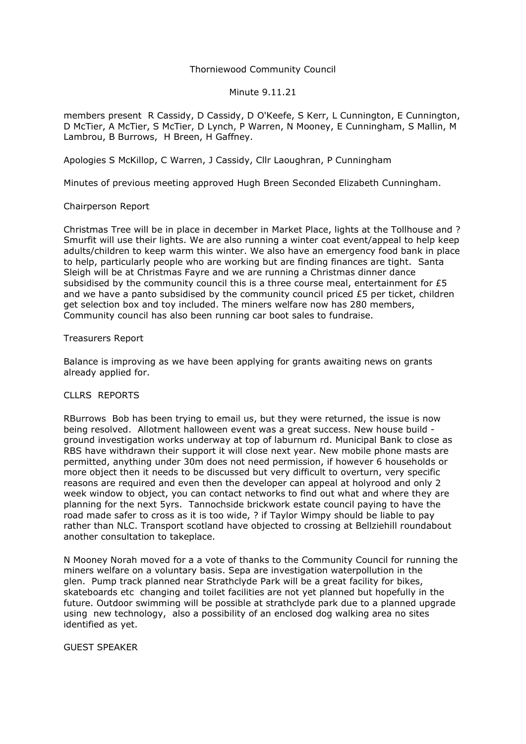# Thorniewood Community Council

#### Minute 9.11.21

members present R Cassidy, D Cassidy, D O'Keefe, S Kerr, L Cunnington, E Cunnington, D McTier, A McTier, S McTier, D Lynch, P Warren, N Mooney, E Cunningham, S Mallin, M Lambrou, B Burrows, H Breen, H Gaffney.

Apologies S McKillop, C Warren, J Cassidy, Cllr Laoughran, P Cunningham

Minutes of previous meeting approved Hugh Breen Seconded Elizabeth Cunningham.

## Chairperson Report

Christmas Tree will be in place in december in Market Place, lights at the Tollhouse and ? Smurfit will use their lights. We are also running a winter coat event/appeal to help keep adults/children to keep warm this winter. We also have an emergency food bank in place to help, particularly people who are working but are finding finances are tight. Santa Sleigh will be at Christmas Fayre and we are running a Christmas dinner dance subsidised by the community council this is a three course meal, entertainment for  $£5$ and we have a panto subsidised by the community council priced £5 per ticket, children get selection box and toy included. The miners welfare now has 280 members, Community council has also been running car boot sales to fundraise.

## Treasurers Report

Balance is improving as we have been applying for grants awaiting news on grants already applied for.

### CLLRS REPORTS

RBurrows Bob has been trying to email us, but they were returned, the issue is now being resolved. Allotment halloween event was a great success. New house build ground investigation works underway at top of laburnum rd. Municipal Bank to close as RBS have withdrawn their support it will close next year. New mobile phone masts are permitted, anything under 30m does not need permission, if however 6 households or more object then it needs to be discussed but very difficult to overturn, very specific reasons are required and even then the developer can appeal at holyrood and only 2 week window to object, you can contact networks to find out what and where they are planning for the next 5yrs. Tannochside brickwork estate council paying to have the road made safer to cross as it is too wide, ? if Taylor Wimpy should be liable to pay rather than NLC. Transport scotland have objected to crossing at Bellziehill roundabout another consultation to takeplace.

N Mooney Norah moved for a a vote of thanks to the Community Council for running the miners welfare on a voluntary basis. Sepa are investigation waterpollution in the glen. Pump track planned near Strathclyde Park will be a great facility for bikes, skateboards etc changing and toilet facilities are not yet planned but hopefully in the future. Outdoor swimming will be possible at strathclyde park due to a planned upgrade using new technology, also a possibility of an enclosed dog walking area no sites identified as yet.

#### GUEST SPEAKER